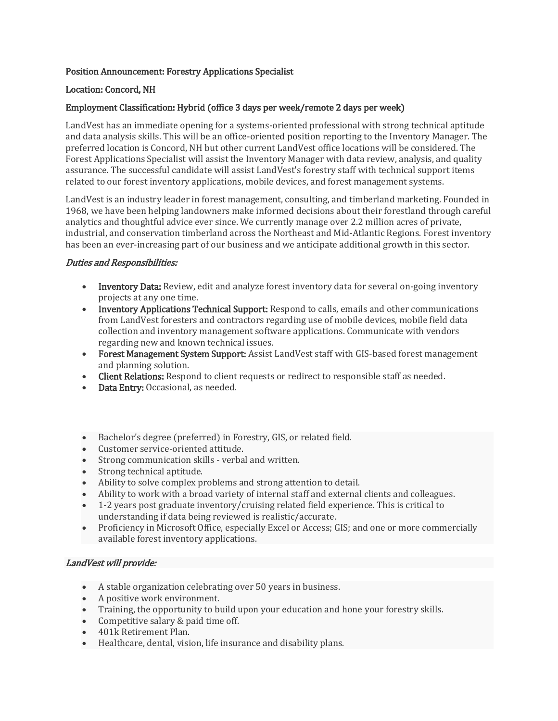# Position Announcement: Forestry Applications Specialist

## Location: Concord, NH

## Employment Classification: Hybrid (office 3 days per week/remote 2 days per week)

LandVest has an immediate opening for a systems-oriented professional with strong technical aptitude and data analysis skills. This will be an office-oriented position reporting to the Inventory Manager. The preferred location is Concord, NH but other current LandVest office locations will be considered. The Forest Applications Specialist will assist the Inventory Manager with data review, analysis, and quality assurance. The successful candidate will assist LandVest's forestry staff with technical support items related to our forest inventory applications, mobile devices, and forest management systems.

LandVest is an industry leader in forest management, consulting, and timberland marketing. Founded in 1968, we have been helping landowners make informed decisions about their forestland through careful analytics and thoughtful advice ever since. We currently manage over 2.2 million acres of private, industrial, and conservation timberland across the Northeast and Mid-Atlantic Regions. Forest inventory has been an ever-increasing part of our business and we anticipate additional growth in this sector.

### Duties and Responsibilities:

- Inventory Data: Review, edit and analyze forest inventory data for several on-going inventory projects at any one time.
- Inventory Applications Technical Support: Respond to calls, emails and other communications from LandVest foresters and contractors regarding use of mobile devices, mobile field data collection and inventory management software applications. Communicate with vendors regarding new and known technical issues.
- Forest Management System Support: Assist LandVest staff with GIS-based forest management and planning solution.
- Client Relations: Respond to client requests or redirect to responsible staff as needed.
- Data Entry: Occasional, as needed.
- Bachelor's degree (preferred) in Forestry, GIS, or related field.
- Customer service-oriented attitude.
- Strong communication skills verbal and written.
- Strong technical aptitude.
- Ability to solve complex problems and strong attention to detail.
- Ability to work with a broad variety of internal staff and external clients and colleagues.
- 1-2 years post graduate inventory/cruising related field experience. This is critical to understanding if data being reviewed is realistic/accurate.
- Proficiency in Microsoft Office, especially Excel or Access; GIS; and one or more commercially available forest inventory applications.

## LandVest will provide:

- A stable organization celebrating over 50 years in business.
- A positive work environment.
- Training, the opportunity to build upon your education and hone your forestry skills.
- Competitive salary & paid time off.
- 401k Retirement Plan.
- Healthcare, dental, vision, life insurance and disability plans.